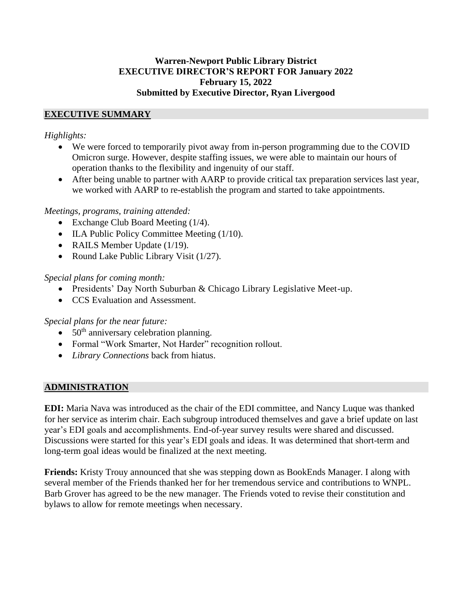#### **Warren-Newport Public Library District EXECUTIVE DIRECTOR'S REPORT FOR January 2022 February 15, 2022 Submitted by Executive Director, Ryan Livergood**

### **EXECUTIVE SUMMARY**

### *Highlights:*

- We were forced to temporarily pivot away from in-person programming due to the COVID Omicron surge. However, despite staffing issues, we were able to maintain our hours of operation thanks to the flexibility and ingenuity of our staff.
- After being unable to partner with AARP to provide critical tax preparation services last year, we worked with AARP to re-establish the program and started to take appointments.

### *Meetings, programs, training attended:*

- Exchange Club Board Meeting (1/4).
- ILA Public Policy Committee Meeting (1/10).
- RAILS Member Update (1/19).
- Round Lake Public Library Visit (1/27).

### *Special plans for coming month:*

- Presidents' Day North Suburban & Chicago Library Legislative Meet-up.
- CCS Evaluation and Assessment.

### *Special plans for the near future:*

- $\bullet$  50<sup>th</sup> anniversary celebration planning.
- Formal "Work Smarter, Not Harder" recognition rollout.
- *Library Connections* back from hiatus.

## **ADMINISTRATION**

**EDI:** Maria Nava was introduced as the chair of the EDI committee, and Nancy Luque was thanked for her service as interim chair. Each subgroup introduced themselves and gave a brief update on last year's EDI goals and accomplishments. End-of-year survey results were shared and discussed. Discussions were started for this year's EDI goals and ideas. It was determined that short-term and long-term goal ideas would be finalized at the next meeting.

**Friends:** Kristy Trouy announced that she was stepping down as BookEnds Manager. I along with several member of the Friends thanked her for her tremendous service and contributions to WNPL. Barb Grover has agreed to be the new manager. The Friends voted to revise their constitution and bylaws to allow for remote meetings when necessary.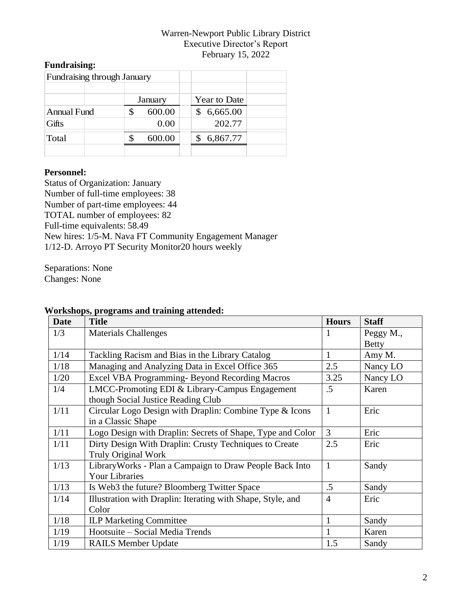# **Fundraising:**

|                    | <b>Fundraising through January</b> |         |              |  |
|--------------------|------------------------------------|---------|--------------|--|
|                    |                                    |         |              |  |
|                    |                                    | January | Year to Date |  |
| <b>Annual Fund</b> |                                    | 600.00  | 6,665.00     |  |
| Gifts              |                                    | 0.00    | 202.77       |  |
| Total              |                                    | 600.00  | 6,867.77     |  |
|                    |                                    |         |              |  |

#### **Personnel:**

Status of Organization: January Number of full-time employees: 38 Number of part-time employees: 44 TOTAL number of employees: 82 Full-time equivalents: 58.49 New hires: 1/5-M. Nava FT Community Engagement Manager 1/12-D. Arroyo PT Security Monitor20 hours weekly

Separations: None Changes: None

| <b>Date</b> | <b>Title</b>                                                | <b>Hours</b>   | <b>Staff</b> |
|-------------|-------------------------------------------------------------|----------------|--------------|
| 1/3         | <b>Materials Challenges</b>                                 | 1              | Peggy M.,    |
|             |                                                             |                | <b>Betty</b> |
| 1/14        | Tackling Racism and Bias in the Library Catalog             | $\mathbf{1}$   | Amy M.       |
| 1/18        | Managing and Analyzing Data in Excel Office 365             | 2.5            | Nancy LO     |
| 1/20        | Excel VBA Programming- Beyond Recording Macros              | 3.25           | Nancy LO     |
| 1/4         | LMCC-Promoting EDI & Library-Campus Engagement              | $.5\,$         | Karen        |
|             | though Social Justice Reading Club                          |                |              |
| 1/11        | Circular Logo Design with Draplin: Combine Type & Icons     | $\mathbf{1}$   | Eric         |
|             | in a Classic Shape                                          |                |              |
| 1/11        | Logo Design with Draplin: Secrets of Shape, Type and Color  | 3              | Eric         |
| 1/11        | Dirty Design With Draplin: Crusty Techniques to Create      | 2.5            | Eric         |
|             | <b>Truly Original Work</b>                                  |                |              |
| 1/13        | Library Works - Plan a Campaign to Draw People Back Into    | $\mathbf{1}$   | Sandy        |
|             | <b>Your Libraries</b>                                       |                |              |
| 1/13        | Is Web3 the future? Bloomberg Twitter Space                 | .5             | Sandy        |
| 1/14        | Illustration with Draplin: Iterating with Shape, Style, and | $\overline{4}$ | Eric         |
|             | Color                                                       |                |              |
| 1/18        | <b>ILP Marketing Committee</b>                              | $\mathbf{1}$   | Sandy        |
| 1/19        | Hootsuite - Social Media Trends                             | 1              | Karen        |
| 1/19        | <b>RAILS Member Update</b>                                  | 1.5            | Sandy        |

# **Workshops, programs and training attended:**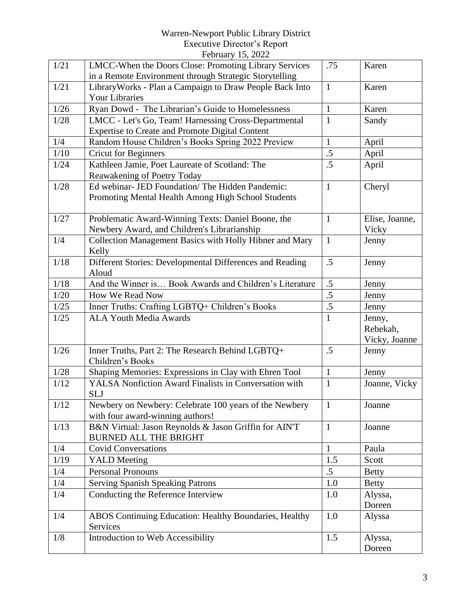|      | 1 CO1 001 y $10, 2022$                                                            |                 |                |
|------|-----------------------------------------------------------------------------------|-----------------|----------------|
| 1/21 | LMCC-When the Doors Close: Promoting Library Services                             | .75             | Karen          |
|      | in a Remote Environment through Strategic Storytelling                            | $\mathbf{1}$    |                |
| 1/21 | Library Works - Plan a Campaign to Draw People Back Into<br><b>Your Libraries</b> |                 | Karen          |
| 1/26 | Ryan Dowd - The Librarian's Guide to Homelessness                                 | $\mathbf{1}$    | Karen          |
| 1/28 | LMCC - Let's Go, Team! Harnessing Cross-Departmental                              | $\mathbf{1}$    | Sandy          |
|      | Expertise to Create and Promote Digital Content                                   |                 |                |
| 1/4  | Random House Children's Books Spring 2022 Preview                                 | $\mathbf{1}$    | April          |
| 1/10 | <b>Cricut for Beginners</b>                                                       | .5              | April          |
| 1/24 | Kathleen Jamie, Poet Laureate of Scotland: The                                    | .5              | April          |
|      | Reawakening of Poetry Today                                                       |                 |                |
| 1/28 | Ed webinar- JED Foundation/ The Hidden Pandemic:                                  | $\mathbf{1}$    | Cheryl         |
|      | Promoting Mental Health Among High School Students                                |                 |                |
|      |                                                                                   |                 |                |
| 1/27 | Problematic Award-Winning Texts: Daniel Boone, the                                | $\mathbf{1}$    | Elise, Joanne, |
|      | Newbery Award, and Children's Librarianship                                       |                 | Vicky          |
| 1/4  | Collection Management Basics with Holly Hibner and Mary                           | $\mathbf{1}$    | Jenny          |
|      | Kelly                                                                             |                 |                |
| 1/18 | Different Stories: Developmental Differences and Reading                          | .5              | Jenny          |
|      | Aloud                                                                             |                 |                |
| 1/18 | And the Winner is Book Awards and Children's Literature                           | .5              | Jenny          |
| 1/20 | How We Read Now                                                                   | .5              | Jenny          |
| 1/25 | Inner Truths: Crafting LGBTQ+ Children's Books                                    | $\overline{.5}$ | Jenny          |
| 1/25 | <b>ALA Youth Media Awards</b>                                                     | $\mathbf{1}$    | Jenny,         |
|      |                                                                                   |                 | Rebekah,       |
|      |                                                                                   |                 | Vicky, Joanne  |
| 1/26 | Inner Truths, Part 2: The Research Behind LGBTQ+                                  | .5              | Jenny          |
|      | Children's Books                                                                  |                 |                |
| 1/28 | Shaping Memories: Expressions in Clay with Ehren Tool                             | $\mathbf{1}$    | Jenny          |
| 1/12 | YALSA Nonfiction Award Finalists in Conversation with                             | $\mathbf{1}$    | Joanne, Vicky  |
|      | <b>SLJ</b>                                                                        |                 |                |
| 1/12 | Newbery on Newbery: Celebrate 100 years of the Newbery                            | $\mathbf{1}$    | Joanne         |
|      | with four award-winning authors!                                                  |                 |                |
| 1/13 | B&N Virtual: Jason Reynolds & Jason Griffin for AIN'T                             | $\mathbf{1}$    | Joanne         |
|      | <b>BURNED ALL THE BRIGHT</b>                                                      |                 |                |
| 1/4  | <b>Covid Conversations</b>                                                        | $\mathbf{1}$    | Paula          |
| 1/19 | <b>YALD</b> Meeting                                                               | 1.5             | Scott          |
| 1/4  | <b>Personal Pronouns</b>                                                          | $.5\,$          | <b>Betty</b>   |
| 1/4  | <b>Serving Spanish Speaking Patrons</b>                                           | 1.0             | <b>Betty</b>   |
| 1/4  | Conducting the Reference Interview                                                | 1.0             | Alyssa,        |
|      |                                                                                   |                 | Doreen         |
| 1/4  | ABOS Continuing Education: Healthy Boundaries, Healthy                            | 1.0             | Alyssa         |
|      | Services                                                                          |                 |                |
| 1/8  | Introduction to Web Accessibility                                                 | 1.5             | Alyssa,        |
|      |                                                                                   |                 | Doreen         |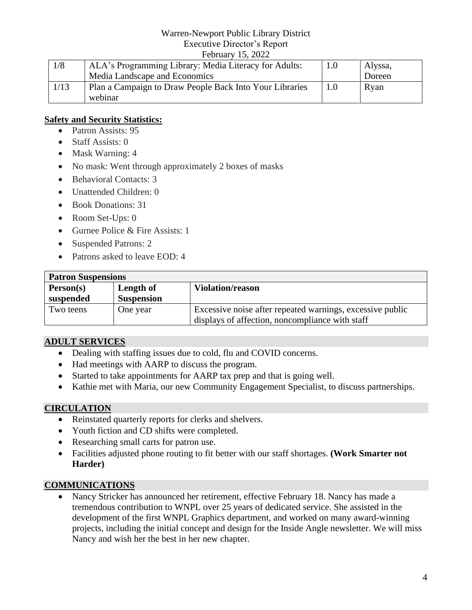#### February 15, 2022

| 1/8  | ALA's Programming Library: Media Literacy for Adults:   | 1.0 | Alyssa, |
|------|---------------------------------------------------------|-----|---------|
|      | Media Landscape and Economics                           |     | Doreen  |
| 1/13 | Plan a Campaign to Draw People Back Into Your Libraries | 1.0 | Ryan    |
|      | webinar                                                 |     |         |

#### **Safety and Security Statistics:**

- Patron Assists: 95
- Staff Assists: 0
- Mask Warning: 4
- No mask: Went through approximately 2 boxes of masks
- Behavioral Contacts: 3
- Unattended Children: 0
- Book Donations: 31
- Room Set-Ups: 0
- Gurnee Police & Fire Assists: 1
- Suspended Patrons: 2
- Patrons asked to leave EOD: 4

| <b>Patron Suspensions</b> |                   |                                                           |
|---------------------------|-------------------|-----------------------------------------------------------|
| Person(s)                 | Length of         | <b>Violation/reason</b>                                   |
| suspended                 | <b>Suspension</b> |                                                           |
| Two teens                 | One year          | Excessive noise after repeated warnings, excessive public |
|                           |                   | displays of affection, noncompliance with staff           |

## **ADULT SERVICES**

- Dealing with staffing issues due to cold, flu and COVID concerns.
- Had meetings with AARP to discuss the program.
- Started to take appointments for AARP tax prep and that is going well.
- Kathie met with Maria, our new Community Engagement Specialist, to discuss partnerships.

### **CIRCULATION**

- Reinstated quarterly reports for clerks and shelvers.
- Youth fiction and CD shifts were completed.
- Researching small carts for patron use.
- Facilities adjusted phone routing to fit better with our staff shortages. **(Work Smarter not Harder)**

### **COMMUNICATIONS**

• Nancy Stricker has announced her retirement, effective February 18. Nancy has made a tremendous contribution to WNPL over 25 years of dedicated service. She assisted in the development of the first WNPL Graphics department, and worked on many award-winning projects, including the initial concept and design for the Inside Angle newsletter. We will miss Nancy and wish her the best in her new chapter.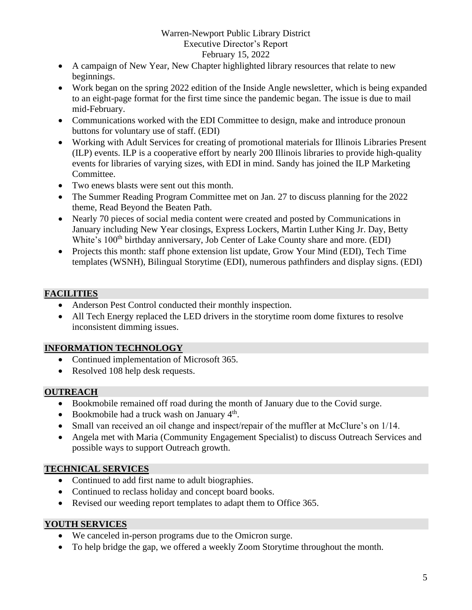- A campaign of New Year, New Chapter highlighted library resources that relate to new beginnings.
- Work began on the spring 2022 edition of the Inside Angle newsletter, which is being expanded to an eight-page format for the first time since the pandemic began. The issue is due to mail mid-February.
- Communications worked with the EDI Committee to design, make and introduce pronoun buttons for voluntary use of staff. (EDI)
- Working with Adult Services for creating of promotional materials for Illinois Libraries Present (ILP) events. ILP is a cooperative effort by nearly 200 Illinois libraries to provide high-quality events for libraries of varying sizes, with EDI in mind. Sandy has joined the ILP Marketing Committee.
- Two enews blasts were sent out this month.
- The Summer Reading Program Committee met on Jan. 27 to discuss planning for the 2022 theme, Read Beyond the Beaten Path.
- Nearly 70 pieces of social media content were created and posted by Communications in January including New Year closings, Express Lockers, Martin Luther King Jr. Day, Betty White's 100<sup>th</sup> birthday anniversary, Job Center of Lake County share and more. (EDI)
- Projects this month: staff phone extension list update, Grow Your Mind (EDI), Tech Time templates (WSNH), Bilingual Storytime (EDI), numerous pathfinders and display signs. (EDI)

## **FACILITIES**

- Anderson Pest Control conducted their monthly inspection.
- All Tech Energy replaced the LED drivers in the storytime room dome fixtures to resolve inconsistent dimming issues.

## **INFORMATION TECHNOLOGY**

- Continued implementation of Microsoft 365.
- Resolved 108 help desk requests.

## **OUTREACH**

- Bookmobile remained off road during the month of January due to the Covid surge.
- Bookmobile had a truck wash on January  $4<sup>th</sup>$ .
- Small van received an oil change and inspect/repair of the muffler at McClure's on 1/14.
- Angela met with Maria (Community Engagement Specialist) to discuss Outreach Services and possible ways to support Outreach growth.

## **TECHNICAL SERVICES**

- Continued to add first name to adult biographies.
- Continued to reclass holiday and concept board books.
- Revised our weeding report templates to adapt them to Office 365.

## **YOUTH SERVICES**

- We canceled in-person programs due to the Omicron surge.
- To help bridge the gap, we offered a weekly Zoom Storytime throughout the month.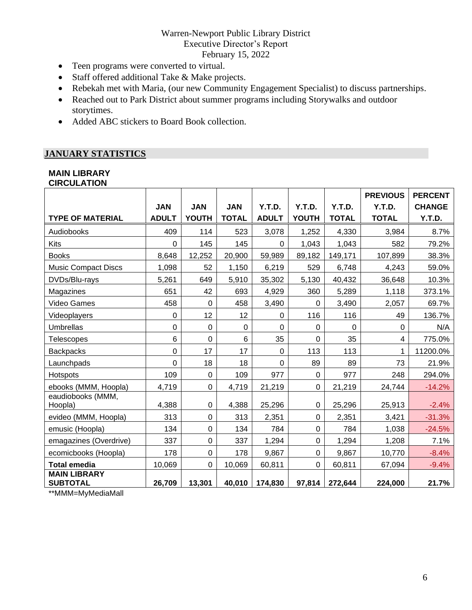- Teen programs were converted to virtual.
- Staff offered additional Take & Make projects.
- Rebekah met with Maria, (our new Community Engagement Specialist) to discuss partnerships.
- Reached out to Park District about summer programs including Storywalks and outdoor storytimes.
- Added ABC stickers to Board Book collection.

# **JANUARY STATISTICS**

#### **MAIN LIBRARY CIRCULATION**

|                                        |              |              |                  |              |              |              | <b>PREVIOUS</b> | <b>PERCENT</b> |
|----------------------------------------|--------------|--------------|------------------|--------------|--------------|--------------|-----------------|----------------|
|                                        | <b>JAN</b>   | <b>JAN</b>   | <b>JAN</b>       | Y.T.D.       | Y.T.D.       | Y.T.D.       | Y.T.D.          | <b>CHANGE</b>  |
| <b>TYPE OF MATERIAL</b>                | <b>ADULT</b> | <b>YOUTH</b> | <b>TOTAL</b>     | <b>ADULT</b> | <b>YOUTH</b> | <b>TOTAL</b> | <b>TOTAL</b>    | Y.T.D.         |
| Audiobooks                             | 409          | 114          | 523              | 3,078        | 1,252        | 4,330        | 3,984           | 8.7%           |
| Kits                                   | 0            | 145          | 145              | $\mathbf 0$  | 1,043        | 1,043        | 582             | 79.2%          |
| <b>Books</b>                           | 8,648        | 12,252       | 20,900           | 59,989       | 89,182       | 149,171      | 107,899         | 38.3%          |
| <b>Music Compact Discs</b>             | 1,098        | 52           | 1,150            | 6,219        | 529          | 6,748        | 4,243           | 59.0%          |
| DVDs/Blu-rays                          | 5,261        | 649          | 5,910            | 35,302       | 5,130        | 40,432       | 36,648          | 10.3%          |
| Magazines                              | 651          | 42           | 693              | 4,929        | 360          | 5,289        | 1,118           | 373.1%         |
| <b>Video Games</b>                     | 458          | 0            | 458              | 3,490        | $\Omega$     | 3,490        | 2,057           | 69.7%          |
| Videoplayers                           | 0            | 12           | 12               | $\mathbf 0$  | 116          | 116          | 49              | 136.7%         |
| <b>Umbrellas</b>                       | 0            | 0            | $\boldsymbol{0}$ | $\mathbf 0$  | $\mathbf 0$  | $\mathbf 0$  | 0               | N/A            |
| <b>Telescopes</b>                      | 6            | 0            | $\,6$            | 35           | $\mathbf 0$  | 35           | 4               | 775.0%         |
| <b>Backpacks</b>                       | 0            | 17           | 17               | $\mathbf 0$  | 113          | 113          | 1               | 11200.0%       |
| Launchpads                             | 0            | 18           | 18               | $\mathbf 0$  | 89           | 89           | 73              | 21.9%          |
| Hotspots                               | 109          | 0            | 109              | 977          | 0            | 977          | 248             | 294.0%         |
| ebooks (MMM, Hoopla)                   | 4,719        | 0            | 4,719            | 21,219       | $\mathbf 0$  | 21,219       | 24,744          | $-14.2%$       |
| eaudiobooks (MMM,<br>Hoopla)           | 4,388        | 0            | 4,388            | 25,296       | $\mathbf 0$  | 25,296       | 25,913          | $-2.4%$        |
| evideo (MMM, Hoopla)                   | 313          | $\Omega$     | 313              | 2,351        | $\Omega$     | 2,351        | 3,421           | $-31.3%$       |
| emusic (Hoopla)                        | 134          | 0            | 134              | 784          | $\mathbf 0$  | 784          | 1,038           | $-24.5%$       |
| emagazines (Overdrive)                 | 337          | 0            | 337              | 1,294        | $\mathbf 0$  | 1,294        | 1,208           | 7.1%           |
| ecomicbooks (Hoopla)                   | 178          | 0            | 178              | 9,867        | $\mathbf 0$  | 9,867        | 10,770          | $-8.4%$        |
| <b>Total emedia</b>                    | 10,069       | 0            | 10,069           | 60,811       | $\mathbf 0$  | 60,811       | 67,094          | $-9.4%$        |
| <b>MAIN LIBRARY</b><br><b>SUBTOTAL</b> | 26,709       | 13,301       | 40,010           | 174,830      | 97,814       | 272,644      | 224,000         | 21.7%          |

\*\*MMM=MyMediaMall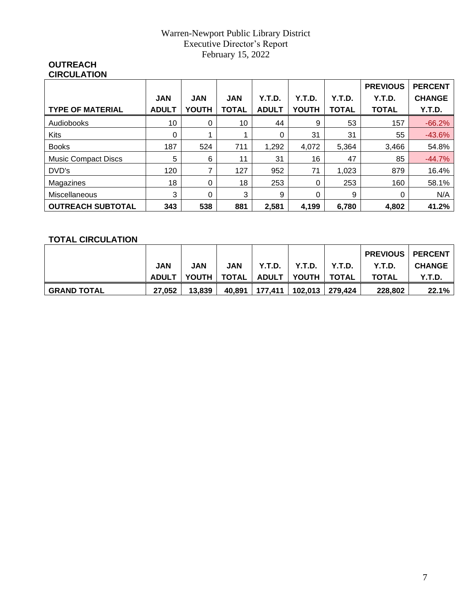#### **OUTREACH CIRCULATION**

|                            |              |              |              |              |          |              | <b>PREVIOUS</b> | <b>PERCENT</b> |
|----------------------------|--------------|--------------|--------------|--------------|----------|--------------|-----------------|----------------|
|                            | <b>JAN</b>   | <b>JAN</b>   | <b>JAN</b>   | Y.T.D.       | Y.T.D.   | Y.T.D.       | Y.T.D.          | <b>CHANGE</b>  |
| <b>TYPE OF MATERIAL</b>    | <b>ADULT</b> | <b>YOUTH</b> | <b>TOTAL</b> | <b>ADULT</b> | YOUTH    | <b>TOTAL</b> | <b>TOTAL</b>    | Y.T.D.         |
| <b>Audiobooks</b>          | 10           | 0            | 10           | 44           | 9        | 53           | 157             | $-66.2%$       |
| <b>Kits</b>                | $\Omega$     |              |              | $\Omega$     | 31       | 31           | 55              | $-43.6%$       |
| <b>Books</b>               | 187          | 524          | 711          | 1,292        | 4,072    | 5,364        | 3,466           | 54.8%          |
| <b>Music Compact Discs</b> | 5            | 6            | 11           | 31           | 16       | 47           | 85              | $-44.7%$       |
| DVD's                      | 120          | 7            | 127          | 952          | 71       | 1,023        | 879             | 16.4%          |
| Magazines                  | 18           | 0            | 18           | 253          | 0        | 253          | 160             | 58.1%          |
| Miscellaneous              | 3            | 0            | 3            | 9            | $\Omega$ | 9            | 0               | N/A            |
| <b>OUTREACH SUBTOTAL</b>   | 343          | 538          | 881          | 2,581        | 4,199    | 6,780        | 4,802           | 41.2%          |

# **TOTAL CIRCULATION**

|                    |              |            |              |           |               |         | <b>PREVIOUS   PERCENT</b> |               |
|--------------------|--------------|------------|--------------|-----------|---------------|---------|---------------------------|---------------|
|                    | JAN          | <b>JAN</b> | <b>JAN</b>   | Y.T.D.    | Y.T.D.        | Y.T.D.  | Y.T.D.                    | <b>CHANGE</b> |
|                    | <b>ADULT</b> | YOUTH I    | <b>TOTAL</b> | I ADULT I | <b>PYOUTH</b> | I TOTAL | <b>TOTAL</b>              | Y.T.D.        |
| <b>GRAND TOTAL</b> | 27.052       | 13.839     | 40.891       | 177,411   | 102,013       | 279.424 | 228,802                   | 22.1%         |